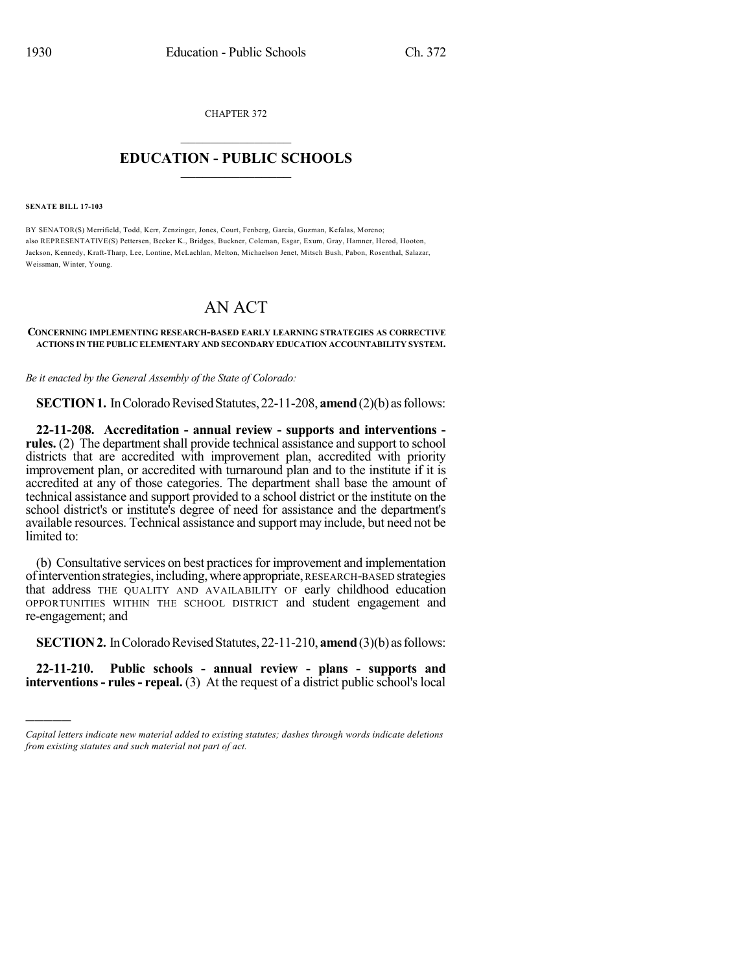CHAPTER 372  $\overline{\phantom{a}}$  . The set of the set of the set of the set of the set of the set of the set of the set of the set of the set of the set of the set of the set of the set of the set of the set of the set of the set of the set o

## **EDUCATION - PUBLIC SCHOOLS**  $\_$   $\_$   $\_$   $\_$   $\_$   $\_$   $\_$   $\_$   $\_$

**SENATE BILL 17-103**

)))))

BY SENATOR(S) Merrifield, Todd, Kerr, Zenzinger, Jones, Court, Fenberg, Garcia, Guzman, Kefalas, Moreno; also REPRESENTATIVE(S) Pettersen, Becker K., Bridges, Buckner, Coleman, Esgar, Exum, Gray, Hamner, Herod, Hooton, Jackson, Kennedy, Kraft-Tharp, Lee, Lontine, McLachlan, Melton, Michaelson Jenet, Mitsch Bush, Pabon, Rosenthal, Salazar, Weissman, Winter, Young.

## AN ACT

## **CONCERNING IMPLEMENTING RESEARCH-BASED EARLY LEARNING STRATEGIES AS CORRECTIVE ACTIONS IN THE PUBLIC ELEMENTARY AND SECONDARY EDUCATION ACCOUNTABILITY SYSTEM.**

*Be it enacted by the General Assembly of the State of Colorado:*

**SECTION 1.** In Colorado Revised Statutes, 22-11-208, **amend** (2)(b) as follows:

**22-11-208. Accreditation - annual review - supports and interventions rules.** (2) The department shall provide technical assistance and support to school districts that are accredited with improvement plan, accredited with priority improvement plan, or accredited with turnaround plan and to the institute if it is accredited at any of those categories. The department shall base the amount of technical assistance and support provided to a school district or the institute on the school district's or institute's degree of need for assistance and the department's available resources. Technical assistance and support may include, but need not be limited to:

(b) Consultative services on best practicesfor improvement and implementation ofinterventionstrategies,including,where appropriate, RESEARCH-BASED strategies that address THE QUALITY AND AVAILABILITY OF early childhood education OPPORTUNITIES WITHIN THE SCHOOL DISTRICT and student engagement and re-engagement; and

**SECTION 2.** In Colorado Revised Statutes, 22-11-210, **amend** (3)(b) as follows:

**22-11-210. Public schools - annual review - plans - supports and interventions- rules- repeal.** (3) At the request of a district public school's local

*Capital letters indicate new material added to existing statutes; dashes through words indicate deletions from existing statutes and such material not part of act.*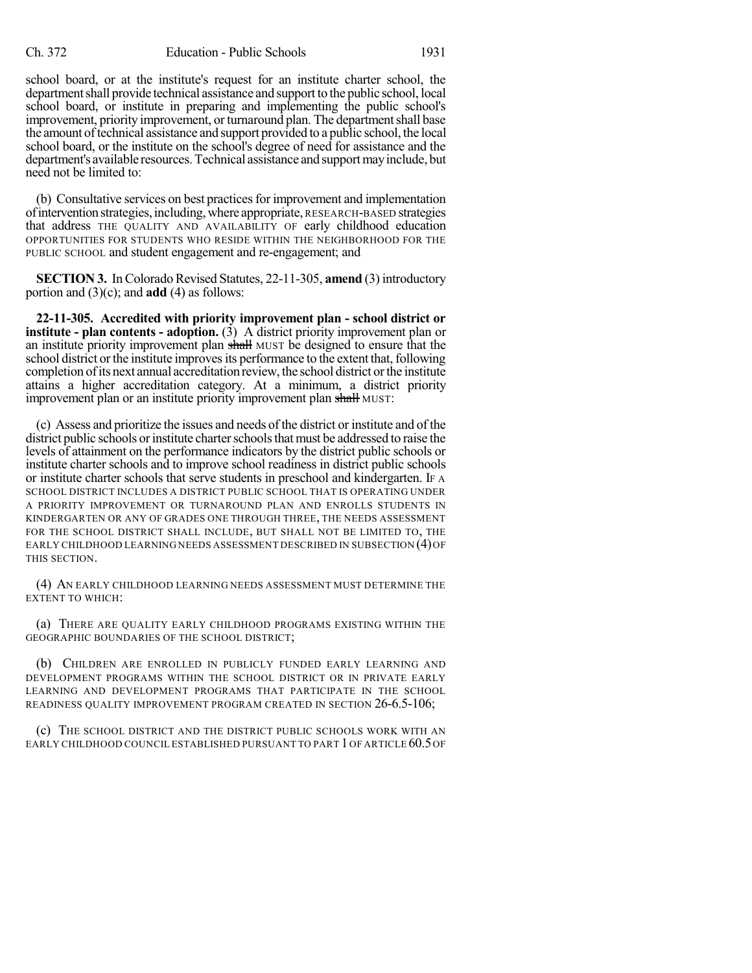school board, or at the institute's request for an institute charter school, the department shall provide technical assistance and support to the public school, local school board, or institute in preparing and implementing the public school's improvement, priority improvement, or turnaround plan. The department shall base the amount of technical assistance and support provided to a public school, the local school board, or the institute on the school's degree of need for assistance and the department's available resources. Technical assistance and support may include, but need not be limited to:

(b) Consultative services on best practicesfor improvement and implementation ofinterventionstrategies,including,where appropriate, RESEARCH-BASED strategies that address THE QUALITY AND AVAILABILITY OF early childhood education OPPORTUNITIES FOR STUDENTS WHO RESIDE WITHIN THE NEIGHBORHOOD FOR THE PUBLIC SCHOOL and student engagement and re-engagement; and

**SECTION 3.** In Colorado Revised Statutes, 22-11-305, **amend** (3) introductory portion and (3)(c); and **add** (4) as follows:

**22-11-305. Accredited with priority improvement plan - school district or institute - plan contents - adoption.** (3) A district priority improvement plan or an institute priority improvement plan shall MUST be designed to ensure that the school district or the institute improves its performance to the extent that, following completion of its next annual accreditation review, the school district or the institute attains a higher accreditation category. At a minimum, a district priority improvement plan or an institute priority improvement plan shall MUST:

(c) Assess and prioritize the issues and needs ofthe district or institute and of the district public schools or institute charter schools that must be addressed to raise the levels of attainment on the performance indicators by the district public schools or institute charter schools and to improve school readiness in district public schools or institute charter schools that serve students in preschool and kindergarten. IF A SCHOOL DISTRICT INCLUDES A DISTRICT PUBLIC SCHOOL THAT IS OPERATING UNDER A PRIORITY IMPROVEMENT OR TURNAROUND PLAN AND ENROLLS STUDENTS IN KINDERGARTEN OR ANY OF GRADES ONE THROUGH THREE, THE NEEDS ASSESSMENT FOR THE SCHOOL DISTRICT SHALL INCLUDE, BUT SHALL NOT BE LIMITED TO, THE EARLY CHILDHOOD LEARNING NEEDS ASSESSMENT DESCRIBED IN SUBSECTION (4)OF THIS SECTION.

(4) AN EARLY CHILDHOOD LEARNING NEEDS ASSESSMENT MUST DETERMINE THE EXTENT TO WHICH:

(a) THERE ARE QUALITY EARLY CHILDHOOD PROGRAMS EXISTING WITHIN THE GEOGRAPHIC BOUNDARIES OF THE SCHOOL DISTRICT;

(b) CHILDREN ARE ENROLLED IN PUBLICLY FUNDED EARLY LEARNING AND DEVELOPMENT PROGRAMS WITHIN THE SCHOOL DISTRICT OR IN PRIVATE EARLY LEARNING AND DEVELOPMENT PROGRAMS THAT PARTICIPATE IN THE SCHOOL READINESS QUALITY IMPROVEMENT PROGRAM CREATED IN SECTION 26-6.5-106;

(c) THE SCHOOL DISTRICT AND THE DISTRICT PUBLIC SCHOOLS WORK WITH AN EARLY CHILDHOOD COUNCIL ESTABLISHED PURSUANT TO PART 1OF ARTICLE 60.5OF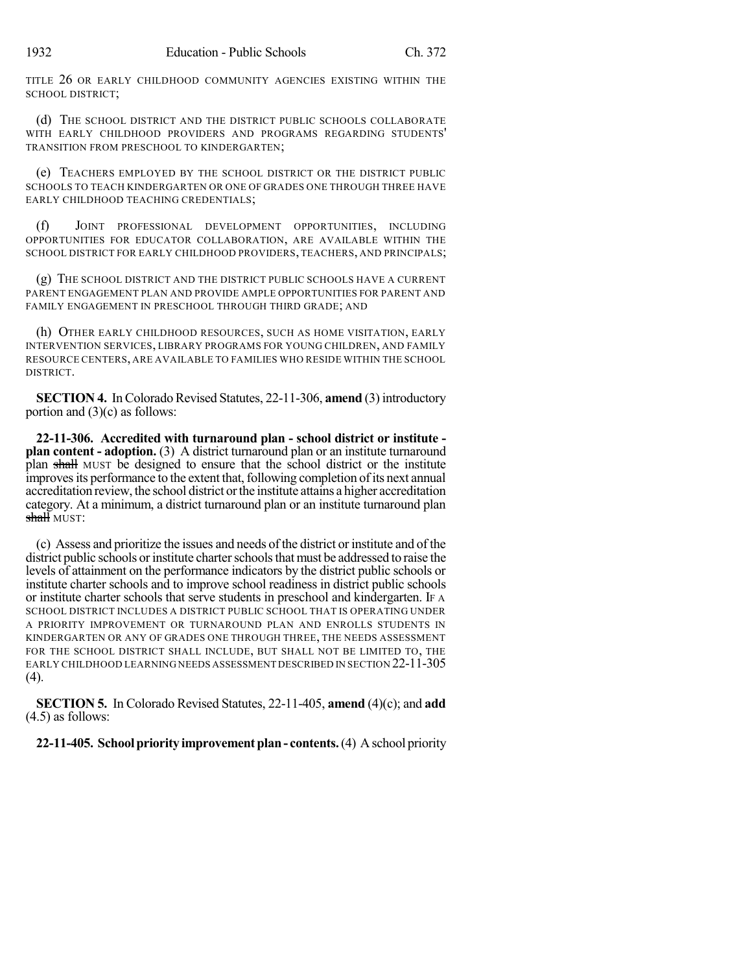TITLE 26 OR EARLY CHILDHOOD COMMUNITY AGENCIES EXISTING WITHIN THE SCHOOL DISTRICT;

(d) THE SCHOOL DISTRICT AND THE DISTRICT PUBLIC SCHOOLS COLLABORATE WITH EARLY CHILDHOOD PROVIDERS AND PROGRAMS REGARDING STUDENTS' TRANSITION FROM PRESCHOOL TO KINDERGARTEN;

(e) TEACHERS EMPLOYED BY THE SCHOOL DISTRICT OR THE DISTRICT PUBLIC SCHOOLS TO TEACH KINDERGARTEN OR ONE OF GRADES ONE THROUGH THREE HAVE EARLY CHILDHOOD TEACHING CREDENTIALS;

(f) JOINT PROFESSIONAL DEVELOPMENT OPPORTUNITIES, INCLUDING OPPORTUNITIES FOR EDUCATOR COLLABORATION, ARE AVAILABLE WITHIN THE SCHOOL DISTRICT FOR EARLY CHILDHOOD PROVIDERS, TEACHERS, AND PRINCIPALS;

(g) THE SCHOOL DISTRICT AND THE DISTRICT PUBLIC SCHOOLS HAVE A CURRENT PARENT ENGAGEMENT PLAN AND PROVIDE AMPLE OPPORTUNITIES FOR PARENT AND FAMILY ENGAGEMENT IN PRESCHOOL THROUGH THIRD GRADE; AND

(h) OTHER EARLY CHILDHOOD RESOURCES, SUCH AS HOME VISITATION, EARLY INTERVENTION SERVICES, LIBRARY PROGRAMS FOR YOUNG CHILDREN, AND FAMILY RESOURCE CENTERS, ARE AVAILABLE TO FAMILIES WHO RESIDE WITHIN THE SCHOOL DISTRICT.

**SECTION 4.** In Colorado Revised Statutes, 22-11-306, **amend** (3) introductory portion and (3)(c) as follows:

**22-11-306. Accredited with turnaround plan - school district or institute plan content - adoption.** (3) A district turnaround plan or an institute turnaround plan shall MUST be designed to ensure that the school district or the institute improves its performance to the extent that, following completion of its next annual accreditation review, the school district orthe institute attains a higher accreditation category. At a minimum, a district turnaround plan or an institute turnaround plan shall must:

(c) Assess and prioritize the issues and needs of the district or institute and of the district public schools or institute charter schools that must be addressed to raise the levels of attainment on the performance indicators by the district public schools or institute charter schools and to improve school readiness in district public schools or institute charter schools that serve students in preschool and kindergarten. IF A SCHOOL DISTRICT INCLUDES A DISTRICT PUBLIC SCHOOL THAT IS OPERATING UNDER A PRIORITY IMPROVEMENT OR TURNAROUND PLAN AND ENROLLS STUDENTS IN KINDERGARTEN OR ANY OF GRADES ONE THROUGH THREE, THE NEEDS ASSESSMENT FOR THE SCHOOL DISTRICT SHALL INCLUDE, BUT SHALL NOT BE LIMITED TO, THE EARLY CHILDHOOD LEARNING NEEDS ASSESSMENT DESCRIBED IN SECTION 22-11-305 (4).

**SECTION 5.** In Colorado Revised Statutes, 22-11-405, **amend** (4)(c); and **add** (4.5) as follows:

## **22-11-405. Schoolpriority improvementplan- contents.**(4) Aschool priority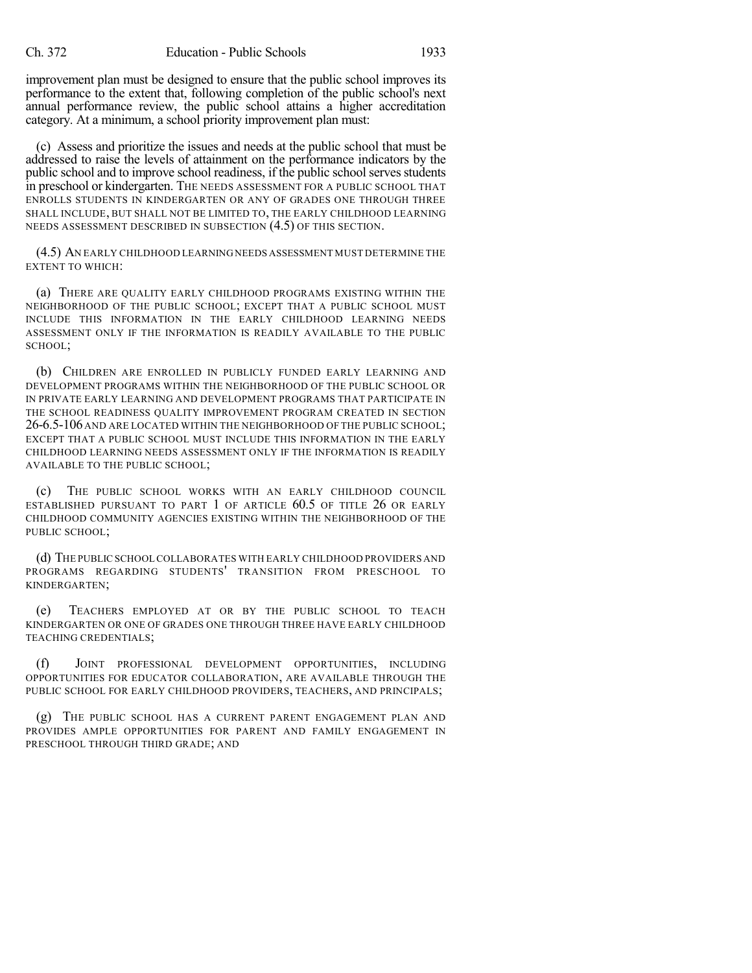improvement plan must be designed to ensure that the public school improves its performance to the extent that, following completion of the public school's next annual performance review, the public school attains a higher accreditation category. At a minimum, a school priority improvement plan must:

(c) Assess and prioritize the issues and needs at the public school that must be addressed to raise the levels of attainment on the performance indicators by the public school and to improve school readiness, if the public school serves students in preschool or kindergarten. THE NEEDS ASSESSMENT FOR A PUBLIC SCHOOL THAT ENROLLS STUDENTS IN KINDERGARTEN OR ANY OF GRADES ONE THROUGH THREE SHALL INCLUDE, BUT SHALL NOT BE LIMITED TO, THE EARLY CHILDHOOD LEARNING NEEDS ASSESSMENT DESCRIBED IN SUBSECTION (4.5) OF THIS SECTION.

(4.5) AN EARLY CHILDHOOD LEARNINGNEEDS ASSESSMENT MUST DETERMINE THE EXTENT TO WHICH:

(a) THERE ARE QUALITY EARLY CHILDHOOD PROGRAMS EXISTING WITHIN THE NEIGHBORHOOD OF THE PUBLIC SCHOOL; EXCEPT THAT A PUBLIC SCHOOL MUST INCLUDE THIS INFORMATION IN THE EARLY CHILDHOOD LEARNING NEEDS ASSESSMENT ONLY IF THE INFORMATION IS READILY AVAILABLE TO THE PUBLIC SCHOOL;

(b) CHILDREN ARE ENROLLED IN PUBLICLY FUNDED EARLY LEARNING AND DEVELOPMENT PROGRAMS WITHIN THE NEIGHBORHOOD OF THE PUBLIC SCHOOL OR IN PRIVATE EARLY LEARNING AND DEVELOPMENT PROGRAMS THAT PARTICIPATE IN THE SCHOOL READINESS QUALITY IMPROVEMENT PROGRAM CREATED IN SECTION 26-6.5-106 AND ARE LOCATED WITHIN THE NEIGHBORHOOD OF THE PUBLIC SCHOOL; EXCEPT THAT A PUBLIC SCHOOL MUST INCLUDE THIS INFORMATION IN THE EARLY CHILDHOOD LEARNING NEEDS ASSESSMENT ONLY IF THE INFORMATION IS READILY AVAILABLE TO THE PUBLIC SCHOOL;

(c) THE PUBLIC SCHOOL WORKS WITH AN EARLY CHILDHOOD COUNCIL ESTABLISHED PURSUANT TO PART 1 OF ARTICLE 60.5 OF TITLE 26 OR EARLY CHILDHOOD COMMUNITY AGENCIES EXISTING WITHIN THE NEIGHBORHOOD OF THE PUBLIC SCHOOL;

(d) THE PUBLIC SCHOOL COLLABORATES WITH EARLY CHILDHOOD PROVIDERS AND PROGRAMS REGARDING STUDENTS' TRANSITION FROM PRESCHOOL TO KINDERGARTEN;

(e) TEACHERS EMPLOYED AT OR BY THE PUBLIC SCHOOL TO TEACH KINDERGARTEN OR ONE OF GRADES ONE THROUGH THREE HAVE EARLY CHILDHOOD TEACHING CREDENTIALS;

(f) JOINT PROFESSIONAL DEVELOPMENT OPPORTUNITIES, INCLUDING OPPORTUNITIES FOR EDUCATOR COLLABORATION, ARE AVAILABLE THROUGH THE PUBLIC SCHOOL FOR EARLY CHILDHOOD PROVIDERS, TEACHERS, AND PRINCIPALS;

(g) THE PUBLIC SCHOOL HAS A CURRENT PARENT ENGAGEMENT PLAN AND PROVIDES AMPLE OPPORTUNITIES FOR PARENT AND FAMILY ENGAGEMENT IN PRESCHOOL THROUGH THIRD GRADE; AND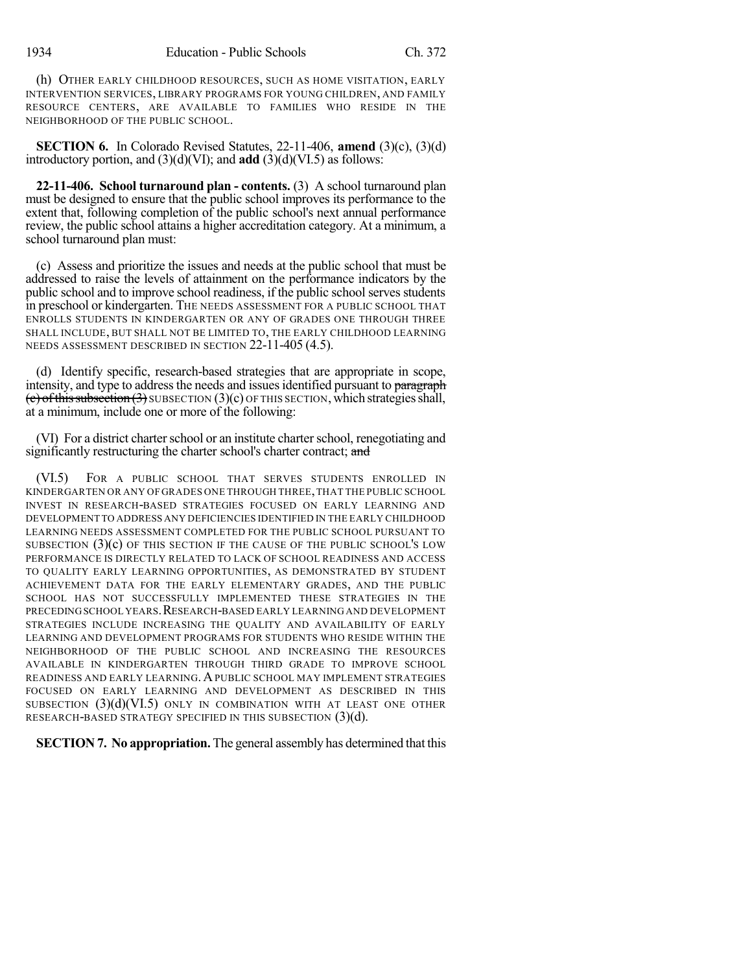(h) OTHER EARLY CHILDHOOD RESOURCES, SUCH AS HOME VISITATION, EARLY INTERVENTION SERVICES, LIBRARY PROGRAMS FOR YOUNG CHILDREN, AND FAMILY RESOURCE CENTERS, ARE AVAILABLE TO FAMILIES WHO RESIDE IN THE NEIGHBORHOOD OF THE PUBLIC SCHOOL.

**SECTION 6.** In Colorado Revised Statutes, 22-11-406, **amend** (3)(c), (3)(d) introductory portion, and (3)(d)(VI); and **add** (3)(d)(VI.5) as follows:

**22-11-406. School turnaround plan - contents.** (3) A school turnaround plan must be designed to ensure that the public school improves its performance to the extent that, following completion of the public school's next annual performance review, the public school attains a higher accreditation category. At a minimum, a school turnaround plan must:

(c) Assess and prioritize the issues and needs at the public school that must be addressed to raise the levels of attainment on the performance indicators by the public school and to improve school readiness, if the public school serves students in preschool or kindergarten. THE NEEDS ASSESSMENT FOR A PUBLIC SCHOOL THAT ENROLLS STUDENTS IN KINDERGARTEN OR ANY OF GRADES ONE THROUGH THREE SHALL INCLUDE, BUT SHALL NOT BE LIMITED TO, THE EARLY CHILDHOOD LEARNING NEEDS ASSESSMENT DESCRIBED IN SECTION 22-11-405 (4.5).

(d) Identify specific, research-based strategies that are appropriate in scope, intensity, and type to address the needs and issues identified pursuant to paragraph  $(c)$  of this subsection  $(3)$  SUBSECTION  $(3)(c)$  OF THIS SECTION, which strategies shall, at a minimum, include one or more of the following:

(VI) For a district charter school or an institute charter school, renegotiating and significantly restructuring the charter school's charter contract; and

(VI.5) FOR A PUBLIC SCHOOL THAT SERVES STUDENTS ENROLLED IN KINDERGARTEN OR ANY OF GRADES ONE THROUGH THREE,THAT THE PUBLIC SCHOOL INVEST IN RESEARCH-BASED STRATEGIES FOCUSED ON EARLY LEARNING AND DEVELOPMENT TO ADDRESS ANY DEFICIENCIES IDENTIFIED IN THE EARLY CHILDHOOD LEARNING NEEDS ASSESSMENT COMPLETED FOR THE PUBLIC SCHOOL PURSUANT TO SUBSECTION (3)(c) OF THIS SECTION IF THE CAUSE OF THE PUBLIC SCHOOL'S LOW PERFORMANCE IS DIRECTLY RELATED TO LACK OF SCHOOL READINESS AND ACCESS TO QUALITY EARLY LEARNING OPPORTUNITIES, AS DEMONSTRATED BY STUDENT ACHIEVEMENT DATA FOR THE EARLY ELEMENTARY GRADES, AND THE PUBLIC SCHOOL HAS NOT SUCCESSFULLY IMPLEMENTED THESE STRATEGIES IN THE PRECEDING SCHOOL YEARS. RESEARCH-BASED EARLY LEARNING AND DEVELOPMENT STRATEGIES INCLUDE INCREASING THE QUALITY AND AVAILABILITY OF EARLY LEARNING AND DEVELOPMENT PROGRAMS FOR STUDENTS WHO RESIDE WITHIN THE NEIGHBORHOOD OF THE PUBLIC SCHOOL AND INCREASING THE RESOURCES AVAILABLE IN KINDERGARTEN THROUGH THIRD GRADE TO IMPROVE SCHOOL READINESS AND EARLY LEARNING. A PUBLIC SCHOOL MAY IMPLEMENT STRATEGIES FOCUSED ON EARLY LEARNING AND DEVELOPMENT AS DESCRIBED IN THIS SUBSECTION  $(3)(d)(VI.5)$  ONLY IN COMBINATION WITH AT LEAST ONE OTHER RESEARCH-BASED STRATEGY SPECIFIED IN THIS SUBSECTION  $(3)(d)$ .

**SECTION 7. No appropriation.** The general assembly has determined that this